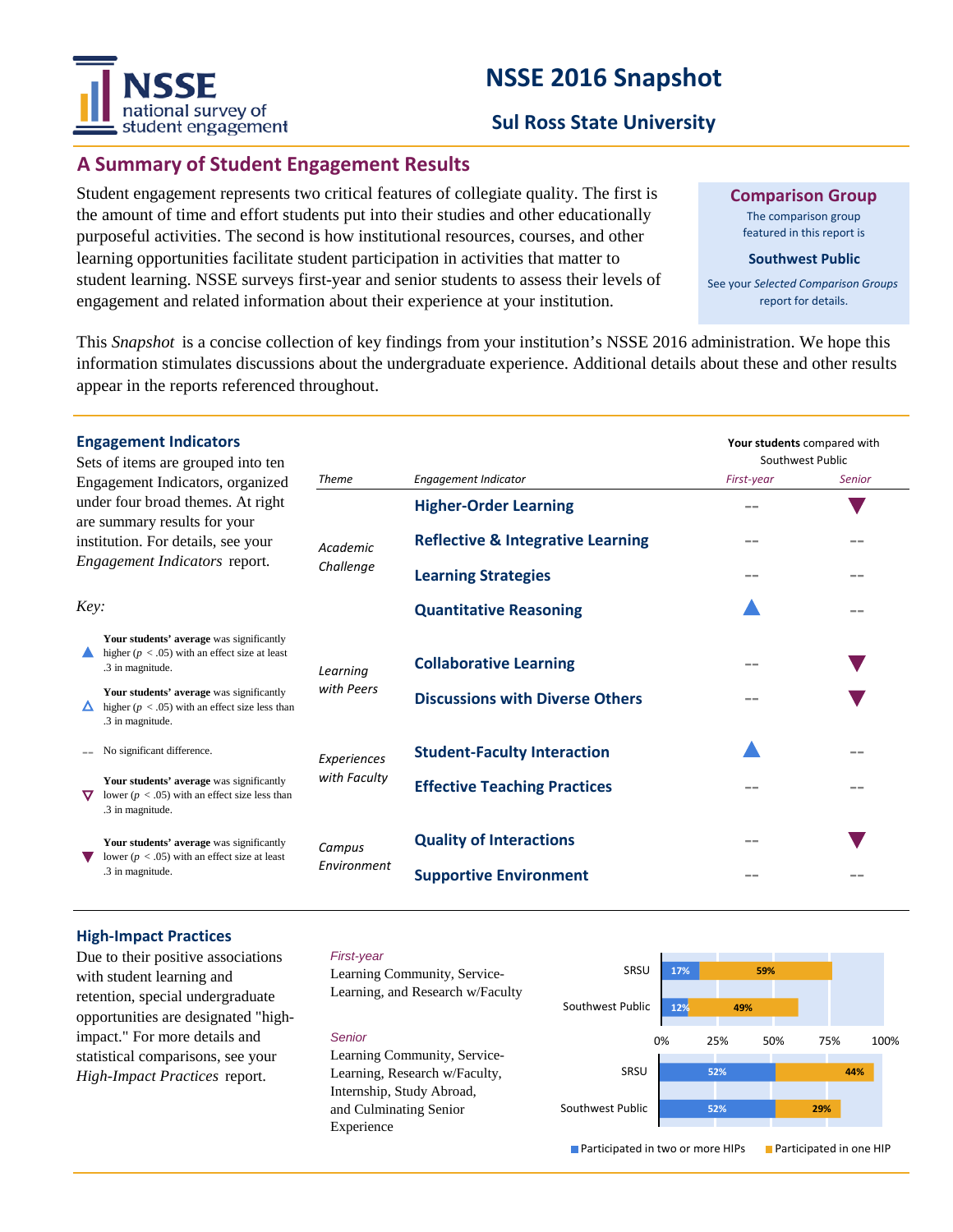# national survey of student engagement

# **NSSE 2016 Snapshot**

# **Sul Ross State University**

# **A Summary of Student Engagement Results**

Student engagement represents two critical features of collegiate quality. The first is the amount of time and effort students put into their studies and other educationally purposeful activities. The second is how institutional resources, courses, and other learning opportunities facilitate student participation in activities that matter to student learning. NSSE surveys first-year and senior students to assess their levels of engagement and related information about their experience at your institution.

**Comparison Group**

The comparison group featured in this report is

#### **Southwest Public**

See your *Selected Comparison Groups*  report for details.

This *Snapshot* is a concise collection of key findings from your institution's NSSE 2016 administration. We hope this information stimulates discussions about the undergraduate experience. Additional details about these and other results appear in the reports referenced throughout.

| <b>Engagement Indicators</b><br>Sets of items are grouped into ten                                                 |                        |                                              | Your students compared with<br>Southwest Public |               |
|--------------------------------------------------------------------------------------------------------------------|------------------------|----------------------------------------------|-------------------------------------------------|---------------|
| Engagement Indicators, organized                                                                                   | <b>Theme</b>           | Engagement Indicator                         | First-year                                      | <b>Senior</b> |
| under four broad themes. At right<br>are summary results for your                                                  | Academic<br>Challenge  | <b>Higher-Order Learning</b>                 |                                                 |               |
| institution. For details, see your<br><i>Engagement Indicators report.</i>                                         |                        | <b>Reflective &amp; Integrative Learning</b> |                                                 |               |
|                                                                                                                    |                        | <b>Learning Strategies</b>                   |                                                 |               |
| Key:                                                                                                               |                        | <b>Quantitative Reasoning</b>                |                                                 |               |
| Your students' average was significantly<br>higher ( $p < .05$ ) with an effect size at least<br>.3 in magnitude.  | Learning<br>with Peers | <b>Collaborative Learning</b>                |                                                 |               |
| Your students' average was significantly<br>higher ( $p < .05$ ) with an effect size less than<br>.3 in magnitude. |                        | <b>Discussions with Diverse Others</b>       |                                                 |               |
| No significant difference.                                                                                         | Experiences            | <b>Student-Faculty Interaction</b>           |                                                 | $= -$         |
| Your students' average was significantly<br>lower ( $p < .05$ ) with an effect size less than<br>.3 in magnitude.  | with Faculty           | <b>Effective Teaching Practices</b>          |                                                 |               |
| Your students' average was significantly<br>lower ( $p < .05$ ) with an effect size at least<br>.3 in magnitude.   | Campus<br>Environment  | <b>Quality of Interactions</b>               |                                                 |               |
|                                                                                                                    |                        | <b>Supportive Environment</b>                |                                                 |               |

### **High-Impact Practices**

Due to their positive associations with student learning and retention, special undergraduate opportunities are designated "highimpact." For more details and statistical comparisons, see your *High-Impact Practices* report.

#### *First-year*

Learning Community, Service-Learning, and Research w/Faculty

#### *Senior*

Learning Community, Service-Learning, Research w/Faculty, Internship, Study Abroad, and Culminating Senior Experience



**Participated in two or more HIPs Participated in one HIP**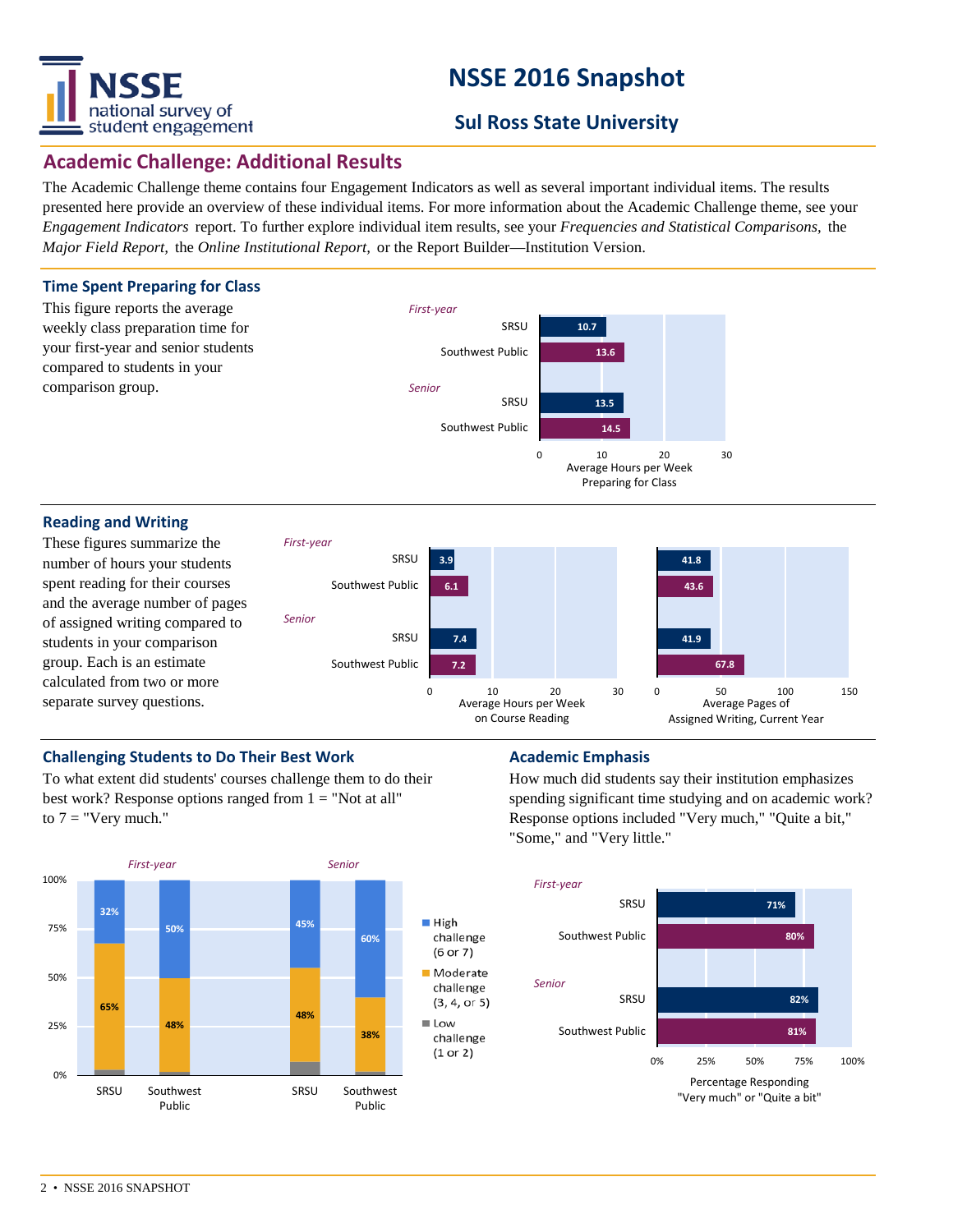

# **NSSE 2016 Snapshot**

# **Sul Ross State University**

## **Academic Challenge: Additional Results**

The Academic Challenge theme contains four Engagement Indicators as well as several important individual items. The results presented here provide an overview of these individual items. For more information about the Academic Challenge theme, see your *Engagement Indicators* report. To further explore individual item results, see your *Frequencies and Statistical Comparisons,* the *Major Field Report,* the *Online Institutional Report,* or the Report Builder—Institution Version.



#### **Reading and Writing**

These figures summarize the number of hours your students spent reading for their courses and the average number of pages of assigned writing compared to students in your comparison group. Each is an estimate calculated from two or more separate survey questions.



## **Challenging Students to Do Their Best Work <b>Academic Emphasis**

To what extent did students' courses challenge them to do their best work? Response options ranged from  $1 =$  "Not at all" to  $7 =$  "Very much."



How much did students say their institution emphasizes spending significant time studying and on academic work? Response options included "Very much," "Quite a bit," "Some," and "Very little."

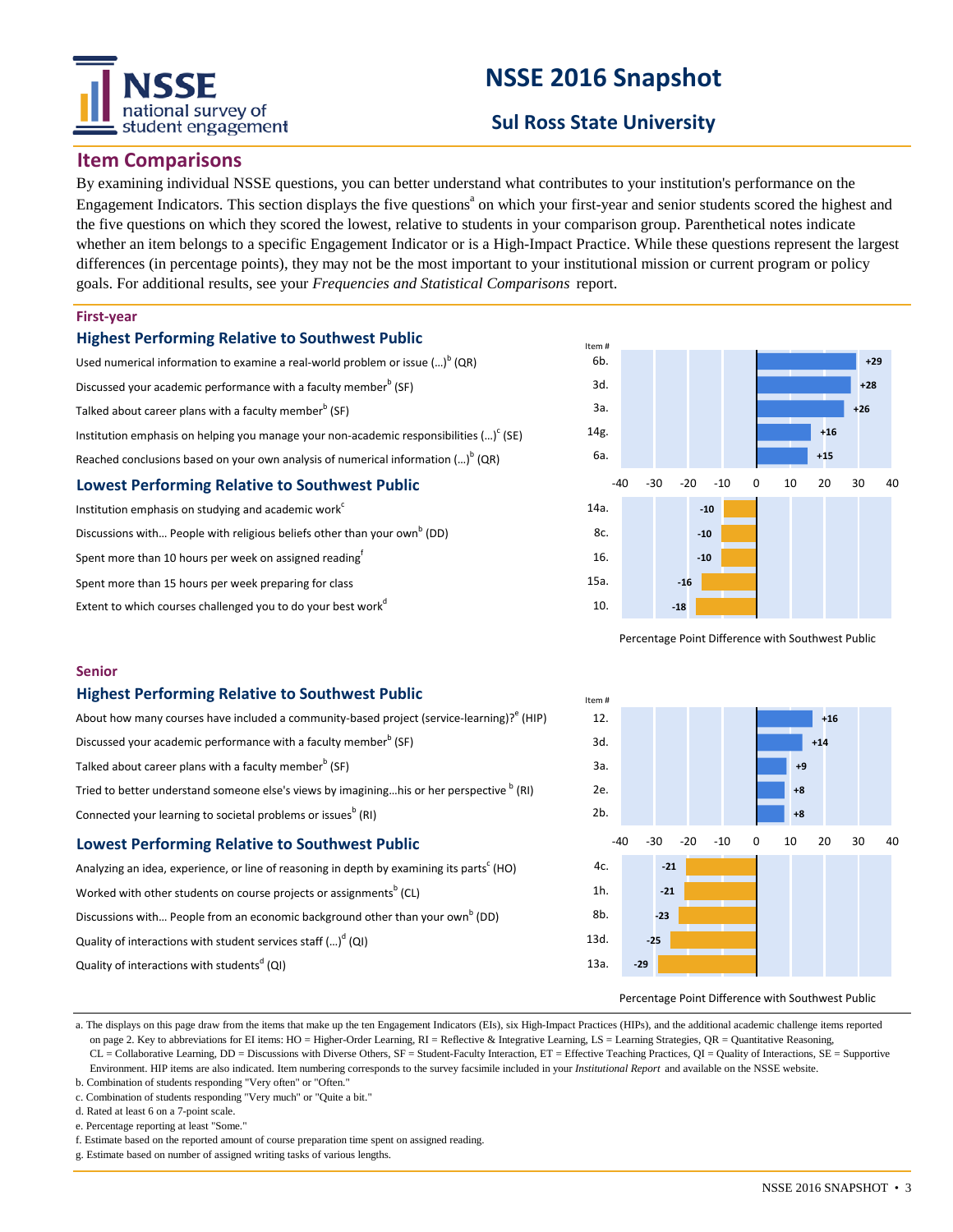# national survey of student engagement

# **NSSE 2016 Snapshot**

# **Sul Ross State University**

Item #

## **Item Comparisons**

By examining individual NSSE questions, you can better understand what contributes to your institution's performance on the Engagement Indicators. This section displays the five questions<sup>a</sup> on which your first-year and senior students scored the highest and the five questions on which they scored the lowest, relative to students in your comparison group. Parenthetical notes indicate whether an item belongs to a specific Engagement Indicator or is a High-Impact Practice. While these questions represent the largest differences (in percentage points), they may not be the most important to your institutional mission or current program or policy goals. For additional results, see your *Frequencies and Statistical Comparisons* report.

### **First-year**

### **Highest Performing Relative to Southwest Public**

Used numerical information to examine a real-world problem or issue  $(\cdot \cdot \cdot)^b$  (QR) Discussed your academic performance with a faculty member<sup>b</sup> (SF) Talked about career plans with a faculty member $^{\rm b}$  (SF) Institution emphasis on helping you manage your non-academic responsibilities (...) $^{\circ}$  (SE) Reached conclusions based on your own analysis of numerical information  $\left( ...\right) ^{\mathsf{b}}$  (QR) **Lowest Performing Relative to Southwest Public** Institution emphasis on studying and academic work<sup>6</sup>

Discussions with... People with religious beliefs other than your own<sup>b</sup> (DD) Spent more than 10 hours per week on assigned reading Spent more than 15 hours per week preparing for class Extent to which courses challenged you to do your best work<sup>d</sup>



Percentage Point Difference with Southwest Public



## **Highest Performing Relative to Southwest Public**

| About how many courses have included a community-based project (service-learning)? (HIP)             |  |  |  |  |
|------------------------------------------------------------------------------------------------------|--|--|--|--|
| Discussed your academic performance with a faculty member <sup>b</sup> (SF)                          |  |  |  |  |
| Talked about career plans with a faculty member <sup>b</sup> (SF)                                    |  |  |  |  |
| Tried to better understand someone else's views by imagininghis or her perspective <sup>b</sup> (RI) |  |  |  |  |
| Connected your learning to societal problems or issues <sup>b</sup> (RI)                             |  |  |  |  |
| <b>Lowest Performing Relative to Southwest Public</b>                                                |  |  |  |  |
|                                                                                                      |  |  |  |  |

Analyzing an idea, experience, or line of reasoning in depth by examining its parts<sup>c</sup> (HO) Worked with other students on course projects or assignments $^{\rm b}$  (CL) Discussions with... People from an economic background other than your own<sup>b</sup> (DD) Quality of interactions with student services staff (...)<sup>d</sup> (QI) Quality of interactions with students<sup>d</sup> (QI)

#### **-21 -21 -23 -25 -29**  $4c$ 1h. 8b. 13d. 13a. **+16 +14 +9 +8 +8** -40 -30 -20 -10 0 10 20 30 40 12. 3d. 3a.  $2e$ 2b.

#### Percentage Point Difference with Southwest Public

a. The displays on this page draw from the items that make up the ten Engagement Indicators (EIs), six High-Impact Practices (HIPs), and the additional academic challenge items reported on page 2. Key to abbreviations for EI items: HO = Higher-Order Learning, RI = Reflective & Integrative Learning, LS = Learning Strategies, QR = Quantitative Reasoning, CL = Collaborative Learning, DD = Discussions with Diverse Others, SF = Student-Faculty Interaction, ET = Effective Teaching Practices, QI = Quality of Interactions, SE = Supportive Environment. HIP items are also indicated. Item numbering corresponds to the survey facsimile included in your *Institutional Report* and available on the NSSE website.

b. Combination of students responding "Very often" or "Often." c. Combination of students responding "Very much" or "Quite a bit."

d. Rated at least 6 on a 7-point scale.

e. Percentage reporting at least "Some.

f. Estimate based on the reported amount of course preparation time spent on assigned reading.

g. Estimate based on number of assigned writing tasks of various lengths.